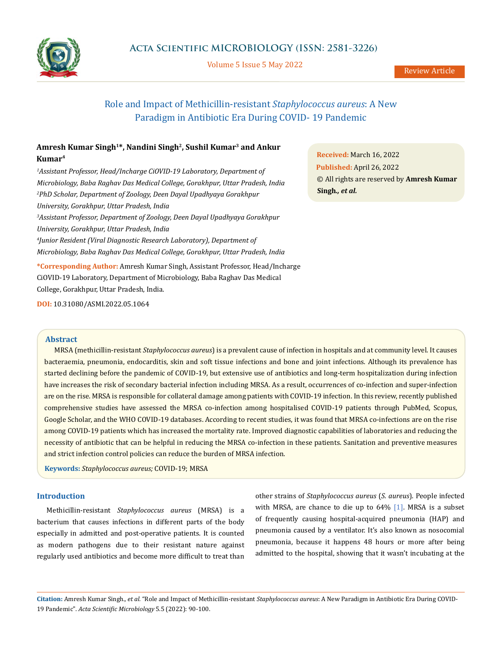

Volume 5 Issue 5 May 2022

# Role and Impact of Methicillin-resistant *Staphylococcus aureus*: A New Paradigm in Antibiotic Era During COVID- 19 Pandemic

## **Amresh Kumar Singh1\*, Nandini Singh2, Sushil Kumar3 and Ankur Kumar4**

*1 Assistant Professor, Head/Incharge CiOVID-19 Laboratory, Department of Microbiology, Baba Raghav Das Medical College, Gorakhpur, Uttar Pradesh, India 2 PhD Scholar, Department of Zoology, Deen Dayal Upadhyaya Gorakhpur University, Gorakhpur, Uttar Pradesh, India 3 Assistant Professor, Department of Zoology, Deen Dayal Upadhyaya Gorakhpur University, Gorakhpur, Uttar Pradesh, India 4 Junior Resident (Viral Diagnostic Research Laboratory), Department of Microbiology, Baba Raghav Das Medical College, Gorakhpur, Uttar Pradesh, India*

**\*Corresponding Author:** Amresh Kumar Singh, Assistant Professor, Head/Incharge CiOVID-19 Laboratory, Department of Microbiology, Baba Raghav Das Medical College, Gorakhpur, Uttar Pradesh, India.

**DOI:** [10.31080/ASMI.2022.05.1064](http:// actascientific.com/ASMI/pdf/ASMI-05-1064.pdf)

### **Abstract**

MRSA (methicillin-resistant *Staphylococcus aureus*) is a prevalent cause of infection in hospitals and at community level. It causes bacteraemia, pneumonia, endocarditis, skin and soft tissue infections and bone and joint infections. Although its prevalence has started declining before the pandemic of COVID-19, but extensive use of antibiotics and long-term hospitalization during infection have increases the risk of secondary bacterial infection including MRSA. As a result, occurrences of co-infection and super-infection are on the rise. MRSA is responsible for collateral damage among patients with COVID-19 infection. In this review, recently published comprehensive studies have assessed the MRSA co-infection among hospitalised COVID-19 patients through PubMed, Scopus, Google Scholar, and the WHO COVID-19 databases. According to recent studies, it was found that MRSA co-infections are on the rise among COVID-19 patients which has increased the mortality rate. Improved diagnostic capabilities of laboratories and reducing the necessity of antibiotic that can be helpful in reducing the MRSA co-infection in these patients. Sanitation and preventive measures and strict infection control policies can reduce the burden of MRSA infection.

**Keywords:** *Staphylococcus aureus;* COVID-19; MRSA

## **Introduction**

Methicillin-resistant *Staphylococcus aureus* (MRSA) is a bacterium that causes infections in different parts of the body especially in admitted and post-operative patients. It is counted as modern pathogens due to their resistant nature against regularly used antibiotics and become more difficult to treat than other strains of *Staphylococcus aureus* (*S. aureus*). People infected with MRSA, are chance to die up to 64% [1]. MRSA is a subset of frequently causing hospital-acquired pneumonia (HAP) and pneumonia caused by a ventilator. It's also known as nosocomial pneumonia, because it happens 48 hours or more after being admitted to the hospital, showing that it wasn't incubating at the

**Citation:** Amresh Kumar Singh*., et al.* "Role and Impact of Methicillin-resistant *Staphylococcus aureus*: A New Paradigm in Antibiotic Era During COVID-19 Pandemic". *Acta Scientific Microbiology* 5.5 (2022): 90-100.

**Received:** March 16, 2022 **Published:** April 26, 2022 © All rights are reserved by **Amresh Kumar Singh***., et al.*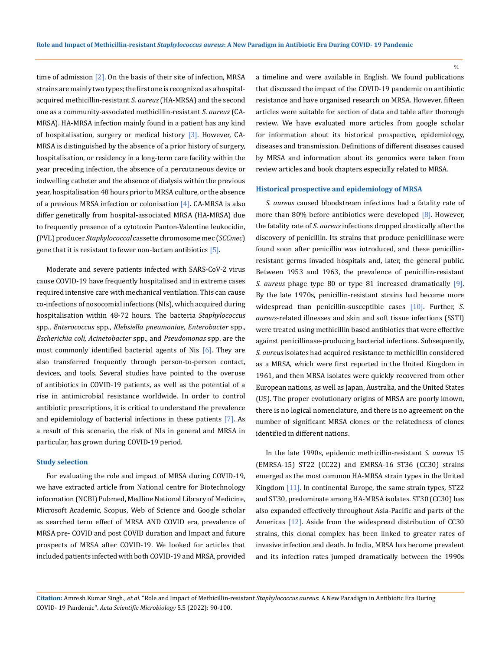time of admission  $[2]$ . On the basis of their site of infection, MRSA strains are mainly two types; the first one is recognized as a hospitalacquired methicillin-resistant *S. aureus* (HA-MRSA) and the second one as a community-associated methicillin-resistant *S. aureus* (CA-MRSA). HA-MRSA infection mainly found in a patient has any kind of hospitalisation, surgery or medical history  $[3]$ . However, CA-MRSA is distinguished by the absence of a prior history of surgery, hospitalisation, or residency in a long-term care facility within the year preceding infection, the absence of a percutaneous device or indwelling catheter and the absence of dialysis within the previous year, hospitalisation 48 hours prior to MRSA culture, or the absence of a previous MRSA infection or colonisation [4]. CA-MRSA is also differ genetically from hospital-associated MRSA (HA-MRSA) due to frequently presence of a cytotoxin Panton-Valentine leukocidin, (PVL) producer *Staphylococcal* cassette chromosome mec (*SCCmec*) gene that it is resistant to fewer non-lactam antibiotics [5].

Moderate and severe patients infected with SARS-CoV-2 virus cause COVID-19 have frequently hospitalised and in extreme cases required intensive care with mechanical ventilation. This can cause co-infections of nosocomial infections (NIs), which acquired during hospitalisation within 48-72 hours. The bacteria *Staphylococcus*  spp., *Enterococcus* spp., *Klebsiella pneumoniae, Enterobacter* spp., *Escherichia coli, Acinetobacter* spp., and *Pseudomonas* spp. are the most commonly identified bacterial agents of Nis  $[6]$ . They are also transferred frequently through person-to-person contact, devices, and tools. Several studies have pointed to the overuse of antibiotics in COVID-19 patients, as well as the potential of a rise in antimicrobial resistance worldwide. In order to control antibiotic prescriptions, it is critical to understand the prevalence and epidemiology of bacterial infections in these patients [7]. As a result of this scenario, the risk of NIs in general and MRSA in particular, has grown during COVID-19 period.

#### **Study selection**

For evaluating the role and impact of MRSA during COVID-19, we have extracted article from National centre for Biotechnology information (NCBI) Pubmed, Medline National Library of Medicine, [Microsoft Academic,](https://academic.microsoft.com/) Scopus, [Web of Science](https://www.webofknowledge.com/) and Google scholar as searched term effect of MRSA AND COVID era, prevalence of MRSA pre- COVID and post COVID duration and Impact and future prospects of MRSA after COVID-19. We looked for articles that included patients infected with both COVID-19 and MRSA*,* provided

a timeline and were available in English. We found publications that discussed the impact of the COVID-19 pandemic on antibiotic resistance and have organised research on MRSA. However, fifteen articles were suitable for section of data and table after thorough review. We have evaluated more articles from google scholar for information about its historical prospective, epidemiology, diseases and transmission. Definitions of different diseases caused by MRSA and information about its genomics were taken from review articles and book chapters especially related to MRSA.

### **Historical prospective and epidemiology of MRSA**

*S. aureus* caused bloodstream infections had a fatality rate of more than 80% before antibiotics were developed [8]. However, the fatality rate of *S. aureus* infections dropped drastically after the discovery of penicillin. Its strains that produce penicillinase were found soon after penicillin was introduced, and these penicillinresistant germs invaded hospitals and, later, the general public. Between 1953 and 1963, the prevalence of penicillin-resistant *S. aureus* phage type 80 or type 81 increased dramatically [9]. By the late 1970s, penicillin-resistant strains had become more widespread than penicillin-susceptible cases [10]. Further, *S. aureus*-related illnesses and skin and soft tissue infections (SSTI) were treated using methicillin based antibiotics that were effective against penicillinase-producing bacterial infections. Subsequently, *S. aureus* isolates had acquired resistance to methicillin considered as a MRSA, which were first reported in the United Kingdom in 1961, and then MRSA isolates were quickly recovered from other European nations, as well as Japan, Australia, and the United States (US). The proper evolutionary origins of MRSA are poorly known, there is no logical nomenclature, and there is no agreement on the number of significant MRSA clones or the relatedness of clones identified in different nations.

In the late 1990s, epidemic methicillin-resistant *S. aureus* 15 (EMRSA-15) ST22 (CC22) and EMRSA-16 ST36 (CC30) strains emerged as the most common HA-MRSA strain types in the United Kingdom [11]. In continental Europe, the same strain types, ST22 and ST30, predominate among HA-MRSA isolates. ST30 (CC30) has also expanded effectively throughout Asia-Pacific and parts of the Americas [12]. Aside from the widespread distribution of CC30 strains, this clonal complex has been linked to greater rates of invasive infection and death. In India, MRSA has become prevalent and its infection rates jumped dramatically between the 1990s

**Citation:** Amresh Kumar Singh*., et al.* "Role and Impact of Methicillin-resistant *Staphylococcus aureus*: A New Paradigm in Antibiotic Era During COVID- 19 Pandemic". *Acta Scientific Microbiology* 5.5 (2022): 90-100.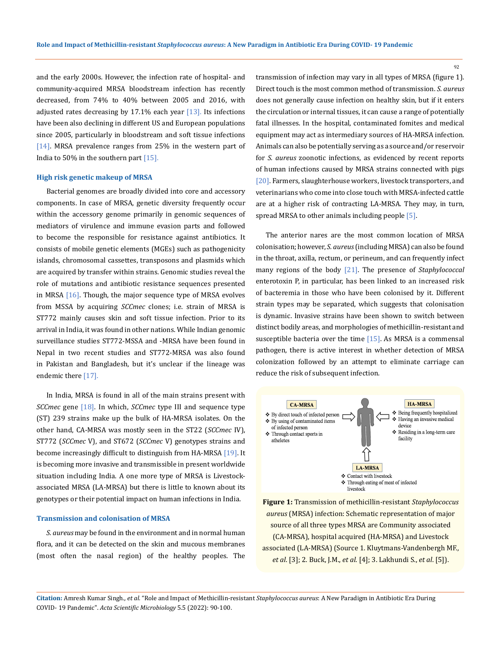and the early 2000s. However, the infection rate of hospital- and community-acquired MRSA bloodstream infection has recently decreased, from 74% to 40% between 2005 and 2016, with adjusted rates decreasing by  $17.1\%$  each year  $[13]$ . Its infections have been also declining in different US and European populations since 2005, particularly in bloodstream and soft tissue infections [14]. MRSA prevalence ranges from 25% in the western part of India to 50% in the southern part [15].

#### **High risk genetic makeup of MRSA**

Bacterial genomes are broadly divided into core and accessory components. In case of MRSA, genetic diversity frequently occur within the accessory genome primarily in genomic sequences of mediators of virulence and immune evasion parts and followed to become the responsible for resistance against antibiotics. It consists of mobile genetic elements (MGEs) such as pathogenicity islands, chromosomal cassettes, transposons and plasmids which are acquired by transfer within strains. Genomic studies reveal the role of mutations and antibiotic resistance sequences presented in MRSA [16]. Though, the major sequence type of MRSA evolves from MSSA by acquiring *SCCmec* clones; i.e. strain of MRSA is ST772 mainly causes skin and soft tissue infection. Prior to its arrival in India, it was found in other nations. While Indian genomic surveillance studies ST772-MSSA and -MRSA have been found in Nepal in two recent studies and ST772-MRSA was also found in Pakistan and Bangladesh, but it's unclear if the lineage was endemic there [17].

In India, MRSA is found in all of the main strains present with *SCCmec* gene [18]. In which, *SCCmec* type III and sequence type (ST) 239 strains make up the bulk of HA-MRSA isolates. On the other hand, CA-MRSA was mostly seen in the ST22 (*SCCmec* IV), ST772 (*SCCmec* V), and ST672 (*SCCmec* V) genotypes strains and become increasingly difficult to distinguish from HA-MRSA [19]. It is becoming more invasive and transmissible in present worldwide situation including India. A one more type of MRSA is Livestockassociated MRSA (LA-MRSA) but there is little to known about its genotypes or their potential impact on human infections in India.

#### **Transmission and colonisation of MRSA**

*S. aureus* may be found in the environment and in normal human flora, and it can be detected on the skin and mucous membranes (most often the nasal region) of the healthy peoples. The

transmission of infection may vary in all types of MRSA (figure 1). Direct touch is the most common method of transmission. *S. aureus* does not generally cause infection on healthy skin, but if it enters the circulation or internal tissues, it can cause a range of potentially fatal illnesses. In the hospital, contaminated fomites and medical equipment may act as intermediary sources of HA-MRSA infection. Animals can also be potentially serving as a source and/or reservoir for *S. aureus* zoonotic infections, as evidenced by recent reports of human infections caused by MRSA strains connected with pigs [20]. Farmers, slaughterhouse workers, livestock transporters, and veterinarians who come into close touch with MRSA-infected cattle are at a higher risk of contracting LA-MRSA. They may, in turn, spread MRSA to other animals including people [5].

The anterior nares are the most common location of MRSA colonisation; however, *S. aureus* (including MRSA) can also be found in the throat, axilla, rectum, or perineum, and can frequently infect many regions of the body [21]. The presence of *Staphylococcal* enterotoxin P, in particular, has been linked to an increased risk of bacteremia in those who have been colonised by it. Different strain types may be separated, which suggests that colonisation is dynamic. Invasive strains have been shown to switch between distinct bodily areas, and morphologies of methicillin-resistant and susceptible bacteria over the time [15]. As MRSA is a commensal pathogen, there is active interest in whether detection of MRSA colonization followed by an attempt to eliminate carriage can reduce the risk of subsequent infection.



**Figure 1:** Transmission of methicillin-resistant *Staphylococcus aureus* (MRSA) infection: Schematic representation of major source of all three types MRSA are Community associated (CA-MRSA), hospital acquired (HA-MRSA) and Livestock associated (LA-MRSA) (Source 1. Kluytmans-Vandenbergh MF., *et al*. [3]; 2. Buck, J.M., *et al*. [4]; 3. Lakhundi S., *et al*. [5]).

**Citation:** Amresh Kumar Singh*., et al.* "Role and Impact of Methicillin-resistant *Staphylococcus aureus*: A New Paradigm in Antibiotic Era During COVID- 19 Pandemic". *Acta Scientific Microbiology* 5.5 (2022): 90-100.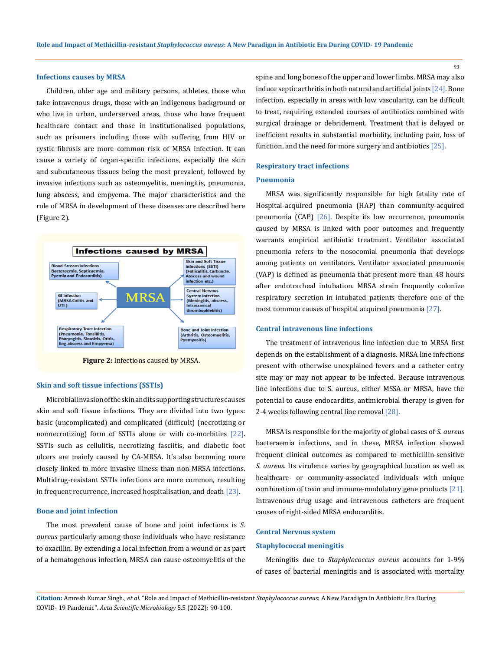#### **Infections causes by MRSA**

Children, older age and military persons, athletes, those who take intravenous drugs, those with an indigenous background or who live in urban, underserved areas, those who have frequent healthcare contact and those in institutionalised populations, such as prisoners including those with suffering from HIV or cystic fibrosis are more common risk of MRSA infection. It can cause a variety of organ-specific infections, especially the skin and subcutaneous tissues being the most prevalent, followed by invasive infections such as osteomyelitis, meningitis, pneumonia, lung abscess, and empyema. The major characteristics and the role of MRSA in development of these diseases are described here (Figure 2).



**Figure 2:** Infections caused by MRSA.

#### **Skin and soft tissue infections (SSTIs)**

Microbial invasion of the skin and its supporting structures causes skin and soft tissue infections. They are divided into two types: basic (uncomplicated) and complicated (difficult) (necrotizing or nonnecrotizing) form of SSTIs alone or with co-morbities [22]. SSTIs such as cellulitis, necrotizing fasciitis, and diabetic foot ulcers are mainly caused by CA-MRSA. It's also becoming more closely linked to more invasive illness than non-MRSA infections. Multidrug-resistant SSTIs infections are more common, resulting in frequent recurrence, increased hospitalisation, and death [23].

## **Bone and joint infection**

The most prevalent cause of bone and joint infections is *S. aureus* particularly among those individuals who have resistance to oxacillin. By extending a local infection from a wound or as part of a hematogenous infection, MRSA can cause osteomyelitis of the spine and long bones of the upper and lower limbs. MRSA may also induce septic arthritis in both natural and artificial joints  $[24]$ . Bone infection, especially in areas with low vascularity, can be difficult to treat, requiring extended courses of antibiotics combined with surgical drainage or debridement. Treatment that is delayed or inefficient results in substantial morbidity, including pain, loss of function, and the need for more surgery and antibiotics [25].

#### **Respiratory tract infections**

#### **Pneumonia**

MRSA was significantly responsible for high fatality rate of Hospital-acquired pneumonia (HAP) than community-acquired pneumonia (CAP) [26]. Despite its low occurrence, pneumonia caused by MRSA is linked with poor outcomes and frequently warrants empirical antibiotic treatment. Ventilator associated pneumonia refers to the nosocomial pneumonia that develops among patients on ventilators. Ventilator associated pneumonia (VAP) is defined as pneumonia that present more than 48 hours after endotracheal intubation. MRSA strain frequently colonize respiratory secretion in intubated patients therefore one of the most common causes of hospital acquired pneumonia [27].

## **Central intravenous line infections**

The treatment of intravenous line infection due to MRSA first depends on the establishment of a diagnosis. MRSA line infections present with otherwise unexplained fevers and a catheter entry site may or may not appear to be infected. Because intravenous line infections due to S. aureus, either MSSA or MRSA, have the potential to cause endocarditis, antimicrobial therapy is given for 2-4 weeks following central line removal [28].

MRSA is responsible for the majority of global cases of *S. aureus* bacteraemia infections, and in these, MRSA infection showed frequent clinical outcomes as compared to methicillin-sensitive *S. aureus*. Its virulence varies by geographical location as well as healthcare- or community-associated individuals with unique combination of toxin and immune-modulatory gene products [21]. Intravenous drug usage and intravenous catheters are frequent causes of right-sided MRSA endocarditis.

### **Central Nervous system**

#### **Staphylococcal meningitis**

Meningitis due to *Staphylococcus aureus* accounts for 1-9% of cases of bacterial meningitis and is associated with mortality

**Citation:** Amresh Kumar Singh*., et al.* "Role and Impact of Methicillin-resistant *Staphylococcus aureus*: A New Paradigm in Antibiotic Era During COVID- 19 Pandemic". *Acta Scientific Microbiology* 5.5 (2022): 90-100.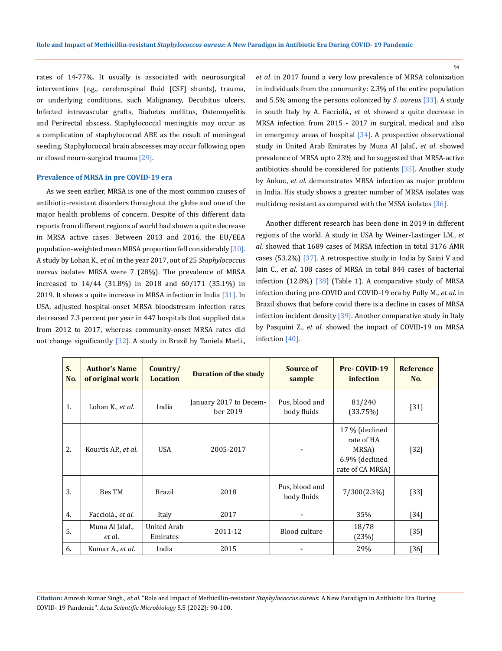rates of 14-77%. It usually is associated with neurosurgical interventions (e.g., cerebrospinal fluid [CSF] shunts), trauma, or underlying conditions, such Malignancy, Decubitus ulcers, Infected intravascular grafts, Diabetes mellitus, Osteomyelitis and Perirectal abscess. Staphylococcal meningitis may occur as a complication of staphylococcal ABE as the result of meningeal seeding. Staphylococcal brain abscesses may occur following open or closed neuro-surgical trauma [29].

#### **Prevalence of MRSA in pre COVID-19 era**

As we seen earlier, MRSA is one of the most common causes of antibiotic-resistant disorders throughout the globe and one of the major health problems of concern. Despite of this different data reports from different regions of world had shown a quite decrease in MRSA active cases. Between 2013 and 2016, the EU/EEA population-weighted mean MRSA proportion fell considerably [30]. A study by Lohan K., *et al*. in the year 2017, out of 25 *Staphylococcus aureus* isolates MRSA were 7 (28%). The prevalence of MRSA increased to 14/44 (31.8%) in 2018 and 60/171 (35.1%) in 2019. It shows a quite increase in MRSA infection in India [31]. In USA, adjusted hospital-onset MRSA bloodstream infection rates decreased 7.3 percent per year in 447 hospitals that supplied data from 2012 to 2017, whereas community-onset MRSA rates did not change significantly [32]. A study in Brazil by Taniela Marli.

*et al*. in 2017 found a very low prevalence of MRSA colonization in individuals from the community: 2.3% of the entire population and 5.5% among the persons colonized by *S. aureus* [33]. A study in south Italy by A. Facciolà., *et al*. showed a quite decrease in MRSA infection from 2015 - 2017 in surgical, medical and also in emergency areas of hospital  $[34]$ . A prospective observational study in United Arab Emirates by Muna Al Jalaf., *et al*. showed prevalence of MRSA upto 23% and he suggested that MRSA-active antibiotics should be considered for patients [35]. Another study by Ankur., *et al*. demonstrates MRSA infection as major problem in India. His study shows a greater number of MRSA isolates was multidrug resistant as compared with the MSSA isolates [36].

Another different research has been done in 2019 in different regions of the world. A study in USA by Weiner-Lastinger LM., *et al*. showed that 1689 cases of MRSA infection in total 3176 AMR cases (53.2%) [37]. A retrospective study in India by Saini V and Jain C., *et al*. 108 cases of MRSA in total 844 cases of bacterial infection (12.8%) [38] (Table 1). A comparative study of MRSA infection during pre-COVID and COVID-19 era by Polly M., *et al*. in Brazil shows that before covid there is a decline in cases of MRSA infection incident density [39]. Another comparative study in Italy by Pasquini Z., *et al*. showed the impact of COVID-19 on MRSA infection [40].

| S.<br>No. | <b>Author's Name</b><br>of original work | Country/<br><b>Location</b> | <b>Duration of the study</b>       | Source of<br>sample           | Pre-COVID-19<br>infection                                                   | <b>Reference</b><br>No. |
|-----------|------------------------------------------|-----------------------------|------------------------------------|-------------------------------|-----------------------------------------------------------------------------|-------------------------|
| 1.        | Lohan K., et al.                         | India                       | January 2017 to Decem-<br>ber 2019 | Pus, blood and<br>body fluids | 81/240<br>(33.75%)                                                          | $[31]$                  |
| 2.        | Kourtis AP., et al.                      | <b>USA</b>                  | 2005-2017                          |                               | 17 % (declined<br>rate of HA<br>MRSA)<br>6.9% (declined<br>rate of CA MRSA) | $[32]$                  |
| 3.        | Bes TM                                   | <b>Brazil</b>               | 2018                               | Pus, blood and<br>body fluids | 7/300(2.3%)                                                                 | $[33]$                  |
| 4.        | Facciolà., et al.                        | Italy                       | 2017                               |                               | 35%                                                                         | $[34]$                  |
| 5.        | Muna Al Jalaf.,<br>et al.                | United Arab<br>Emirates     | 2011-12                            | <b>Blood culture</b>          | 18/78<br>(23%)                                                              | $[35]$                  |
| 6.        | Kumar A., et al.                         | India                       | 2015                               |                               | 29%                                                                         | $[36]$                  |

**Citation:** Amresh Kumar Singh*., et al.* "Role and Impact of Methicillin-resistant *Staphylococcus aureus*: A New Paradigm in Antibiotic Era During COVID- 19 Pandemic". *Acta Scientific Microbiology* 5.5 (2022): 90-100.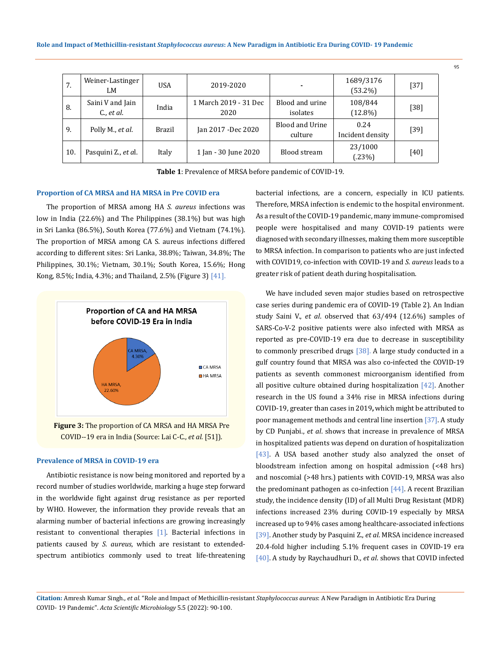| 7.  | Weiner-Lastinger<br>LM            | <b>USA</b> | 2019-2020                     | $\blacksquare$              | 1689/3176<br>$(53.2\%)$  | $[37]$ |
|-----|-----------------------------------|------------|-------------------------------|-----------------------------|--------------------------|--------|
| 8.  | Saini V and Jain<br>$C$ ., et al. | India      | 1 March 2019 - 31 Dec<br>2020 | Blood and urine<br>isolates | 108/844<br>$(12.8\%)$    | $[38]$ |
| 9.  | Polly M., et al.                  | Brazil     | Jan 2017 - Dec 2020           | Blood and Urine<br>culture  | 0.24<br>Incident density | $[39]$ |
| 10. | Pasquini Z., et al.               | Italy      | 1 Jan - 30 June 2020          | Blood stream                | 23/1000<br>(.23%)        | [40]   |

**Table 1**: Prevalence of MRSA before pandemic of COVID-19.

## **Proportion of CA MRSA and HA MRSA in Pre COVID era**

The proportion of MRSA among HA *S. aureus* infections was low in India (22.6%) and The Philippines (38.1%) but was high in Sri Lanka (86.5%), South Korea (77.6%) and Vietnam (74.1%). The proportion of MRSA among CA S. aureus infections differed according to different sites: Sri Lanka, 38.8%; Taiwan, 34.8%; The Philippines, 30.1%; Vietnam, 30.1%; South Korea, 15.6%; Hong Kong, 8.5%; India, 4.3%; and Thailand, 2.5% (Figure 3) [41].



COVID--19 era in India (Source: Lai C-C., *et al.* [51]).

## **Prevalence of MRSA in COVID-19 era**

Antibiotic resistance is now being monitored and reported by a record number of studies worldwide, marking a huge step forward in the worldwide fight against drug resistance as per reported by WHO. However, the information they provide reveals that an alarming number of bacterial infections are growing increasingly resistant to conventional therapies [1]. Bacterial infections in patients caused by *S. aureus*, which are resistant to extendedspectrum antibiotics commonly used to treat life-threatening bacterial infections, are a concern, especially in ICU patients*.* Therefore, MRSA infection is endemic to the hospital environment. As a result of the COVID-19 pandemic, many immune-compromised people were hospitalised and many COVID-19 patients were diagnosed with secondary illnesses, making them more susceptible to MRSA infection. In comparison to patients who are just infected with COVID19, co-infection with COVID-19 and *S. aureus* leads to a greater risk of patient death during hospitalisation.

We have included seven major studies based on retrospective case series during pandemic era of COVID-19 (Table 2). An Indian study Saini V., *et al*. observed that 63/494 (12.6%) samples of SARS-Co-V-2 positive patients were also infected with MRSA as reported as pre-COVID-19 era due to decrease in susceptibility to commonly prescribed drugs [38]. A large study conducted in a gulf country found that MRSA was also co-infected the COVID-19 patients as seventh commonest microorganism identified from all positive culture obtained during hospitalization [42]. Another research in the US found a 34% rise in MRSA infections during COVID-19, greater than cases in 2019**,** which might be attributed to poor management methods and central line insertion [37]. A study by CD Punjabi., *et al*. shows that increase in prevalence of MRSA in hospitalized patients was depend on duration of hospitalization [43]. A USA based another study also analyzed the onset of bloodstream infection among on hospital admission (<48 hrs) and noscomial (>48 hrs.) patients with COVID-19, MRSA was also the predominant pathogen as co-infection [44]. A recent Brazilian study, the incidence density (ID) of all Multi Drug Resistant (MDR) infections increased 23% during COVID-19 especially by MRSA increased up to 94% cases among healthcare-associated infections [39]. Another study by Pasquini Z., *et al*. MRSA incidence increased 20.4-fold higher including 5.1% frequent cases in COVID-19 era [40]. A study by Raychaudhuri D., *et al*. shows that COVID infected

**Citation:** Amresh Kumar Singh*., et al.* "Role and Impact of Methicillin-resistant *Staphylococcus aureus*: A New Paradigm in Antibiotic Era During COVID- 19 Pandemic". *Acta Scientific Microbiology* 5.5 (2022): 90-100.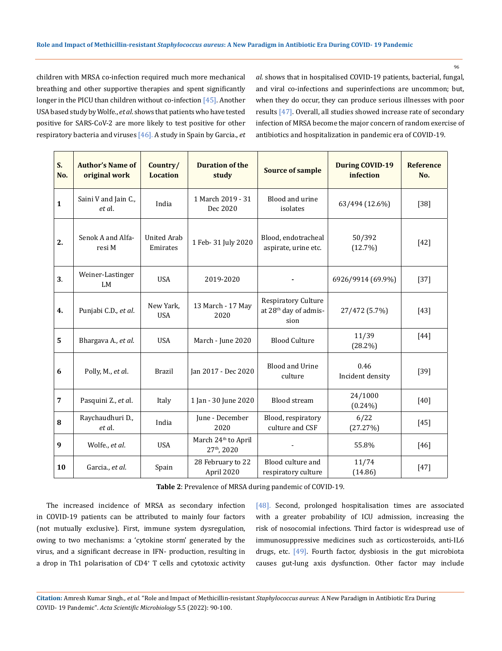children with MRSA co-infection required much more mechanical breathing and other supportive therapies and spent significantly longer in the PICU than children without co-infection [45]. Another USA based study by Wolfe., *et al*. shows that patients who have tested positive for SARS-CoV-2 are more likely to test positive for other respiratory bacteria and viruses [46]. A study in Spain by Garcia., *et*  *al*. shows that in hospitalised COVID-19 patients, bacterial, fungal, and viral co-infections and superinfections are uncommon; but, when they do occur, they can produce serious illnesses with poor results [47]. Overall, all studies showed increase rate of secondary infection of MRSA become the major concern of random exercise of antibiotics and hospitalization in pandemic era of COVID-19.

| S.<br>No.      | <b>Author's Name of</b><br>original work | Country/<br><b>Location</b>    | <b>Duration of the</b><br>study                            | <b>Source of sample</b>                                          | <b>During COVID-19</b><br>infection | <b>Reference</b><br>No. |
|----------------|------------------------------------------|--------------------------------|------------------------------------------------------------|------------------------------------------------------------------|-------------------------------------|-------------------------|
| $\mathbf{1}$   | Saini V and Jain C.,<br>et al.           | India                          | 1 March 2019 - 31<br>Dec 2020                              | Blood and urine<br>isolates                                      | 63/494 (12.6%)                      | $[38]$                  |
| 2.             | Senok A and Alfa-<br>resi M              | <b>United Arab</b><br>Emirates | 1 Feb- 31 July 2020                                        | Blood, endotracheal<br>aspirate, urine etc.                      | 50/392<br>(12.7%)                   | $[42]$                  |
| 3.             | Weiner-Lastinger<br><b>LM</b>            | <b>USA</b>                     | 2019-2020                                                  |                                                                  | 6926/9914 (69.9%)                   | $[37]$                  |
| 4.             | Punjabi C.D., et al.                     | New Yark,<br><b>USA</b>        | 13 March - 17 May<br>2020                                  | Respiratory Culture<br>at 28 <sup>th</sup> day of admis-<br>sion | 27/472 (5.7%)                       | $[43]$                  |
| 5              | Bhargava A., et al.                      | <b>USA</b>                     | March - June 2020                                          | <b>Blood Culture</b>                                             | 11/39<br>$(28.2\%)$                 | [44]                    |
| 6              | Polly, M., et al.                        | <b>Brazil</b>                  | Jan 2017 - Dec 2020                                        | <b>Blood and Urine</b><br>culture                                | 0.46<br>Incident density            | $[39]$                  |
| $\overline{7}$ | Pasquini Z., et al.                      | Italy                          | 1 Jan - 30 June 2020                                       | <b>Blood stream</b>                                              | 24/1000<br>$(0.24\%)$               | $[40]$                  |
| 8              | Raychaudhuri D.,<br>et al.               | India                          | June - December<br>2020                                    | Blood, respiratory<br>culture and CSF                            | 6/22<br>(27.27%)                    | $[45]$                  |
| 9              | Wolfe., et al.                           | <b>USA</b>                     | March 24 <sup>th</sup> to April<br>27 <sup>th</sup> , 2020 |                                                                  | 55.8%                               | $[46]$                  |
| 10             | Garcia., et al.                          | Spain                          | 28 February to 22<br>April 2020                            | Blood culture and<br>respiratory culture                         | 11/74<br>(14.86)                    | $[47]$                  |

**Table 2**: Prevalence of MRSA during pandemic of COVID-19.

The increased incidence of MRSA as secondary infection in COVID-19 patients can be attributed to mainly four factors (not mutually exclusive). First, immune system dysregulation, owing to two mechanisms: a 'cytokine storm' generated by the virus, and a significant decrease in IFN- production, resulting in a drop in Th1 polarisation of CD4+ T cells and cytotoxic activity [48]. Second, prolonged hospitalisation times are associated with a greater probability of ICU admission, increasing the risk of nosocomial infections. Third factor is widespread use of immunosuppressive medicines such as corticosteroids, anti-IL6 drugs, etc. [49]. Fourth factor, dysbiosis in the gut microbiota causes gut-lung axis dysfunction. Other factor may include

**Citation:** Amresh Kumar Singh*., et al.* "Role and Impact of Methicillin-resistant *Staphylococcus aureus*: A New Paradigm in Antibiotic Era During COVID- 19 Pandemic". *Acta Scientific Microbiology* 5.5 (2022): 90-100.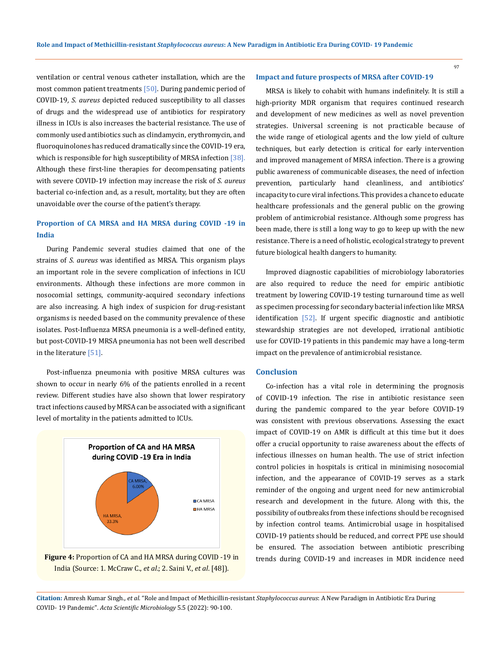ventilation or central venous catheter installation, which are the most common patient treatments [50]. During pandemic period of COVID-19*, S. aureus* depicted reduced susceptibility to all classes of drugs and the widespread use of antibiotics for respiratory illness in ICUs is also increases the bacterial resistance. The use of commonly used antibiotics such as clindamycin, erythromycin, and fluoroquinolones has reduced dramatically since the COVID-19 era, which is responsible for high susceptibility of MRSA infection [38]. Although these first-line therapies for decompensating patients with severe COVID-19 infection may increase the risk of *S. aureus* bacterial co-infection and, as a result, mortality, but they are often unavoidable over the course of the patient's therapy.

## **Proportion of CA MRSA and HA MRSA during COVID -19 in India**

During Pandemic several studies claimed that one of the strains of *S. aureus* was identified as MRSA. This organism plays an important role in the severe complication of infections in ICU environments. Although these infections are more common in nosocomial settings, community-acquired secondary infections are also increasing. A high index of suspicion for drug-resistant organisms is needed based on the community prevalence of these isolates. Post-Influenza MRSA pneumonia is a well-defined entity, but post-COVID-19 MRSA pneumonia has not been well described in the literature [51].

Post-influenza pneumonia with positive MRSA cultures was shown to occur in nearly 6% of the patients enrolled in a recent review. Different studies have also shown that lower respiratory tract infections caused by MRSA can be associated with a significant level of mortality in the patients admitted to ICUs.





#### **Impact and future prospects of MRSA after COVID-19**

MRSA is likely to cohabit with humans indefinitely. It is still a high-priority MDR organism that requires continued research and development of new medicines as well as novel prevention strategies. Universal screening is not practicable because of the wide range of etiological agents and the low yield of culture techniques, but early detection is critical for early intervention and improved management of MRSA infection. There is a growing public awareness of communicable diseases, the need of infection prevention, particularly hand cleanliness, and antibiotics' incapacity to cure viral infections. This provides a chance to educate healthcare professionals and the general public on the growing problem of antimicrobial resistance. Although some progress has been made, there is still a long way to go to keep up with the new resistance. There is a need of holistic, ecological strategy to prevent future biological health dangers to humanity.

Improved diagnostic capabilities of microbiology laboratories are also required to reduce the need for empiric antibiotic treatment by lowering COVID-19 testing turnaround time as well as specimen processing for secondary bacterial infection like MRSA identification [52]. If urgent specific diagnostic and antibiotic stewardship strategies are not developed, irrational antibiotic use for COVID-19 patients in this pandemic may have a long-term impact on the prevalence of antimicrobial resistance.

### **Conclusion**

Co-infection has a vital role in determining the prognosis of COVID-19 infection. The rise in antibiotic resistance seen during the pandemic compared to the year before COVID-19 was consistent with previous observations. Assessing the exact impact of COVID-19 on AMR is difficult at this time but it does offer a crucial opportunity to raise awareness about the effects of infectious illnesses on human health. The use of strict infection control policies in hospitals is critical in minimising nosocomial infection, and the appearance of COVID-19 serves as a stark reminder of the ongoing and urgent need for new antimicrobial research and development in the future. Along with this, the possibility of outbreaks from these infections should be recognised by infection control teams. Antimicrobial usage in hospitalised COVID-19 patients should be reduced, and correct PPE use should be ensured. The association between antibiotic prescribing trends during COVID-19 and increases in MDR incidence need

**Citation:** Amresh Kumar Singh*., et al.* "Role and Impact of Methicillin-resistant *Staphylococcus aureus*: A New Paradigm in Antibiotic Era During COVID- 19 Pandemic". *Acta Scientific Microbiology* 5.5 (2022): 90-100.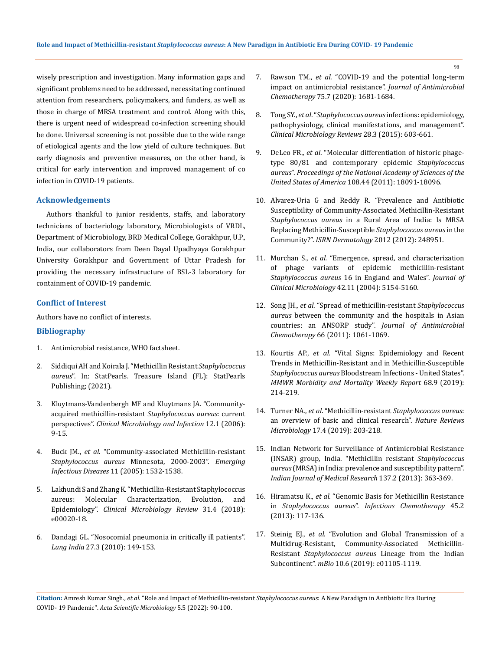wisely prescription and investigation. Many information gaps and significant problems need to be addressed, necessitating continued attention from researchers, policymakers, and funders, as well as those in charge of MRSA treatment and control. Along with this, there is urgent need of widespread co-infection screening should be done. Universal screening is not possible due to the wide range of etiological agents and the low yield of culture techniques. But early diagnosis and preventive measures, on the other hand, is critical for early intervention and improved management of co infection in COVID-19 patients.

## **Acknowledgements**

Authors thankful to junior residents, staffs, and laboratory technicians of bacteriology laboratory, Microbiologists of VRDL, Department of Microbiology, BRD Medical College, Gorakhpur, U.P., India, our collaborators from Deen Dayal Upadhyaya Gorakhpur University Gorakhpur and Government of Uttar Pradesh for providing the necessary infrastructure of BSL-3 laboratory for containment of COVID-19 pandemic.

## **Conflict of Interest**

Authors have no conflict of interests.

### **Bibliography**

- 1. Antimicrobial resistance, WHO factsheet.
- 2. [Siddiqui AH and Koirala J. "Methicillin Resistant](https://www.ncbi.nlm.nih.gov/books/NBK482221/) *Staphylococcus aureus*[". In: StatPearls. Treasure Island \(FL\): StatPearls](https://www.ncbi.nlm.nih.gov/books/NBK482221/)  [Publishing; \(2021\).](https://www.ncbi.nlm.nih.gov/books/NBK482221/)
- 3. [Kluytmans-Vandenbergh MF and Kluytmans JA. "Community](https://pubmed.ncbi.nlm.nih.gov/16445719/)[acquired methicillin-resistant](https://pubmed.ncbi.nlm.nih.gov/16445719/) *Staphylococcus aureus*: current perspectives". *[Clinical Microbiology and Infection](https://pubmed.ncbi.nlm.nih.gov/16445719/)* 12.1 (2006): [9-15.](https://pubmed.ncbi.nlm.nih.gov/16445719/)
- 4. Buck JM., *et al*[. "Community-associated Methicillin-resistant](https://pubmed.ncbi.nlm.nih.gov/16318692/)  *[Staphylococcus aureus](https://pubmed.ncbi.nlm.nih.gov/16318692/)* Minnesota, 2000-2003". *Emerging Infectious Diseases* [11 \(2005\): 1532-1538.](https://pubmed.ncbi.nlm.nih.gov/16318692/)
- 5. [Lakhundi S and Zhang K. "Methicillin-Resistant Staphylococcus](https://pubmed.ncbi.nlm.nih.gov/30209034)  [aureus: Molecular Characterization, Evolution, and](https://pubmed.ncbi.nlm.nih.gov/30209034)  Epidemiology". *[Clinical Microbiology Review](https://pubmed.ncbi.nlm.nih.gov/30209034)* 31.4 (2018): [e00020-18.](https://pubmed.ncbi.nlm.nih.gov/30209034)
- 6. [Dandagi GL. "Nosocomial pneumonia in critically ill patients".](https://pubmed.ncbi.nlm.nih.gov/20931034)  *Lung India* [27.3 \(2010\): 149-153.](https://pubmed.ncbi.nlm.nih.gov/20931034)
- 7. Rawson TM., *et al*[. "COVID-19 and the potential long-term](https://pubmed.ncbi.nlm.nih.gov/32433765/)  [impact on antimicrobial resistance".](https://pubmed.ncbi.nlm.nih.gov/32433765/) *Journal of Antimicrobial Chemotherapy* [75.7 \(2020\): 1681-1684.](https://pubmed.ncbi.nlm.nih.gov/32433765/)
- 8. Tong SY., *et al*. "*[Staphylococcus aureus](https://pubmed.ncbi.nlm.nih.gov/26016486)* infections: epidemiology, [pathophysiology, clinical manifestations, and management".](https://pubmed.ncbi.nlm.nih.gov/26016486)  *[Clinical Microbiology Reviews](https://pubmed.ncbi.nlm.nih.gov/26016486)* 28.3 (2015): 603-661.
- 9. DeLeo FR., *et al*[. "Molecular differentiation of historic phage](https://pubmed.ncbi.nlm.nih.gov/22025717)[type 80/81 and contemporary epidemic](https://pubmed.ncbi.nlm.nih.gov/22025717) *Staphylococcus aureus*". *[Proceedings of the National Academy of Sciences of the](https://pubmed.ncbi.nlm.nih.gov/22025717)  [United States of America](https://pubmed.ncbi.nlm.nih.gov/22025717)* 108.44 (2011): 18091-18096.
- 10. [Alvarez-Uria G and Reddy R. "Prevalence and Antibiotic](https://pubmed.ncbi.nlm.nih.gov/23119178)  [Susceptibility of Community-Associated Methicillin-Resistant](https://pubmed.ncbi.nlm.nih.gov/23119178)  *Staphylococcus aureus* [in a Rural Area of India: Is MRSA](https://pubmed.ncbi.nlm.nih.gov/23119178)  [Replacing Methicillin-Susceptible](https://pubmed.ncbi.nlm.nih.gov/23119178) *Staphylococcus aureus* in the Community?". *ISRN Dermatology* [2012 \(2012\): 248951.](https://pubmed.ncbi.nlm.nih.gov/23119178)
- 11. Murchan S., *et al.* ["Emergence, spread, and characterization](https://pubmed.ncbi.nlm.nih.gov/15528709)  [of phage variants of epidemic methicillin-resistant](https://pubmed.ncbi.nlm.nih.gov/15528709)  *Staphylococcus aureus* [16 in England and Wales".](https://pubmed.ncbi.nlm.nih.gov/15528709) *Journal of [Clinical Microbiology](https://pubmed.ncbi.nlm.nih.gov/15528709)* 42.11 (2004): 5154-5160.
- 12. Song JH., *et al*[. "Spread of methicillin-resistant](https://pubmed.ncbi.nlm.nih.gov/21393157/) *Staphylococcus aureus* [between the community and the hospitals in Asian](https://pubmed.ncbi.nlm.nih.gov/21393157/)  [countries: an ANSORP study".](https://pubmed.ncbi.nlm.nih.gov/21393157/) *Journal of Antimicrobial Chemotherapy* [66 \(2011\): 1061-1069.](https://pubmed.ncbi.nlm.nih.gov/21393157/)
- 13. Kourtis AP., *et al.* ["Vital Signs: Epidemiology and Recent](https://pubmed.ncbi.nlm.nih.gov/30845118/)  [Trends in Methicillin-Resistant and in Methicillin-Susceptible](https://pubmed.ncbi.nlm.nih.gov/30845118/)  *Staphylococcus aureus* [Bloodstream Infections - United States".](https://pubmed.ncbi.nlm.nih.gov/30845118/)  *[MMWR Morbidity and Mortality Weekly Report](https://pubmed.ncbi.nlm.nih.gov/30845118/)* 68.9 (2019): [214-219.](https://pubmed.ncbi.nlm.nih.gov/30845118/)
- 14. Turner NA., *et al*. "Methicillin-resistant *[Staphylococcus aureus](https://www.nature.com/articles/s41579-018-0147-4)*: [an overview of basic and clinical research".](https://www.nature.com/articles/s41579-018-0147-4) *Nature Reviews Microbiology* [17.4 \(2019\): 203-218.](https://www.nature.com/articles/s41579-018-0147-4)
- 15. [Indian Network for Surveillance of Antimicrobial Resistance](https://pubmed.ncbi.nlm.nih.gov/23563381)  [\(INSAR\) group, India. "Methicillin resistant](https://pubmed.ncbi.nlm.nih.gov/23563381) *Staphylococcus aureus* [\(MRSA\) in India: prevalence and susceptibility pattern".](https://pubmed.ncbi.nlm.nih.gov/23563381)  *[Indian Journal of Medical Research](https://pubmed.ncbi.nlm.nih.gov/23563381)* 137.2 (2013): 363-369.
- 16. Hiramatsu K., *et al.* ["Genomic Basis for Methicillin Resistance](https://pubmed.ncbi.nlm.nih.gov/24265961)  in *Staphylococcus aureus*". *[Infectious Chemotherapy](https://pubmed.ncbi.nlm.nih.gov/24265961)* 45.2 [\(2013\): 117-136.](https://pubmed.ncbi.nlm.nih.gov/24265961)
- 17. Steinig EJ., *et al*[. "Evolution and Global Transmission of a](https://pubmed.ncbi.nlm.nih.gov/31772058)  [Multidrug-Resistant, Community-Associated Methicillin-](https://pubmed.ncbi.nlm.nih.gov/31772058)Resistant *[Staphylococcus aureus](https://pubmed.ncbi.nlm.nih.gov/31772058)* Lineage from the Indian Subcontinent". *mBio* [10.6 \(2019\): e01105-1119.](https://pubmed.ncbi.nlm.nih.gov/31772058)

**Citation:** Amresh Kumar Singh*., et al.* "Role and Impact of Methicillin-resistant *Staphylococcus aureus*: A New Paradigm in Antibiotic Era During COVID- 19 Pandemic". *Acta Scientific Microbiology* 5.5 (2022): 90-100.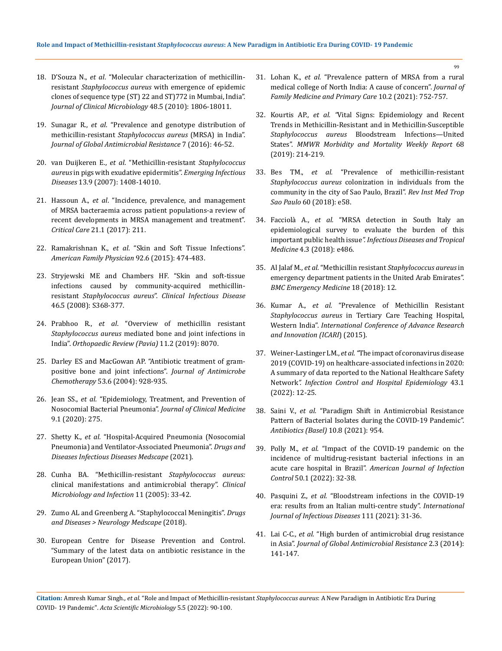- 18. D'Souza N., *et al*[. "Molecular characterization of methicillin](https://pubmed.ncbi.nlm.nih.gov/20351212)resistant *Staphylococcus aureus* [with emergence of epidemic](https://pubmed.ncbi.nlm.nih.gov/20351212)  [clones of sequence type \(ST\) 22 and ST\)772 in Mumbai, India".](https://pubmed.ncbi.nlm.nih.gov/20351212)  *[Journal of Clinical Microbiology](https://pubmed.ncbi.nlm.nih.gov/20351212)* 48.5 (2010): 1806-18011.
- 19. Sunagar R., *et al*[. "Prevalence and genotype distribution of](https://pubmed.ncbi.nlm.nih.gov/27598056)  methicillin-resistant *[Staphylococcus aureus](https://pubmed.ncbi.nlm.nih.gov/27598056)* (MRSA) in India". *[Journal of Global Antimicrobial Resistance](https://pubmed.ncbi.nlm.nih.gov/27598056)* 7 (2016): 46-52.
- 20. van Duijkeren E., *et al*[. "Methicillin-resistant](https://pubmed.ncbi.nlm.nih.gov/18252124) *Staphylococcus aureus* [in pigs with exudative epidermitis".](https://pubmed.ncbi.nlm.nih.gov/18252124) *Emerging Infectious Diseases* [13.9 \(2007\): 1408-14010.](https://pubmed.ncbi.nlm.nih.gov/18252124)
- 21. Hassoun A., *et al*[. "Incidence, prevalence, and management](https://pubmed.ncbi.nlm.nih.gov/28807042)  [of MRSA bacteraemia across patient populations-a review of](https://pubmed.ncbi.nlm.nih.gov/28807042)  [recent developments in MRSA management and treatment".](https://pubmed.ncbi.nlm.nih.gov/28807042)  *Critical Care* [21.1 \(2017\): 211.](https://pubmed.ncbi.nlm.nih.gov/28807042)
- 22. Ramakrishnan K., *et al*[. "Skin and Soft Tissue Infections".](https://pubmed.ncbi.nlm.nih.gov/26371732)  *[American Family Physician](https://pubmed.ncbi.nlm.nih.gov/26371732)* 92.6 (2015): 474-483.
- 23. [Stryjewski ME and Chambers HF. "Skin and soft-tissue](https://pubmed.ncbi.nlm.nih.gov/18462092)  [infections caused by community-acquired methicillin](https://pubmed.ncbi.nlm.nih.gov/18462092)resistant *Staphylococcus aureus*". *[Clinical Infectious Disease](https://pubmed.ncbi.nlm.nih.gov/18462092)* [46.5 \(2008\): S368-377.](https://pubmed.ncbi.nlm.nih.gov/18462092)
- 24. Prabhoo R., *et al*[. "Overview of methicillin resistant](https://pubmed.ncbi.nlm.nih.gov/31312419)  *Staphylococcus aureus* [mediated bone and joint infections in](https://pubmed.ncbi.nlm.nih.gov/31312419)  India". *[Orthopaedic Review \(Pavia\)](https://pubmed.ncbi.nlm.nih.gov/31312419)* 11.2 (2019): 8070.
- 25. [Darley ES and MacGowan AP. "Antibiotic treatment of gram](https://pubmed.ncbi.nlm.nih.gov/15117932)[positive bone and joint infections".](https://pubmed.ncbi.nlm.nih.gov/15117932) *Journal of Antimicrobe Chemotherapy* [53.6 \(2004\): 928-935.](https://pubmed.ncbi.nlm.nih.gov/15117932)
- 26. Jean SS., *et al.* ["Epidemiology, Treatment, and Prevention of](https://pubmed.ncbi.nlm.nih.gov/31963877)  [Nosocomial Bacterial Pneumonia".](https://pubmed.ncbi.nlm.nih.gov/31963877) *Journal of Clinical Medicine* [9.1 \(2020\): 275.](https://pubmed.ncbi.nlm.nih.gov/31963877)
- 27. Shetty K., *et al.* "Hospital-Acquired Pneumonia (Nosocomial Pneumonia) and Ventilator-Associated Pneumonia". *Drugs and Diseases Infectious Diseases Medscape* (2021).
- 28. [Cunha BA. "Methicillin-resistant](https://pubmed.ncbi.nlm.nih.gov/15997484/) *Staphylococcus aureus:* [clinical manifestations and antimicrobial therapy".](https://pubmed.ncbi.nlm.nih.gov/15997484/) *Clinical [Microbiology and Infection](https://pubmed.ncbi.nlm.nih.gov/15997484/)* 11 (2005): 33-42.
- 29. [Zumo AL and Greenberg A. "Staphylococcal Meningitis".](https://emedicine.medscape.com/article/1165941-overview) *Drugs and Diseases > [Neurology Medscape](https://emedicine.medscape.com/article/1165941-overview)* (2018).
- 30. [European Centre for Disease Prevention and Control.](https://ecdc.europa.eu/sites/portal/files/%20documents/EAAD%20EARSNet%20summary.pdf)  ["Summary of the latest data on antibiotic resistance in the](https://ecdc.europa.eu/sites/portal/files/%20documents/EAAD%20EARSNet%20summary.pdf)  [European Union" \(2017\).](https://ecdc.europa.eu/sites/portal/files/%20documents/EAAD%20EARSNet%20summary.pdf)
- 31. Lohan K., *et al.* ["Prevalence pattern of MRSA from a rural](https://pubmed.ncbi.nlm.nih.gov/34041072)  [medical college of North India: A cause of concern".](https://pubmed.ncbi.nlm.nih.gov/34041072) *Journal of [Family Medicine and Primary Care](https://pubmed.ncbi.nlm.nih.gov/34041072)* 10.2 (2021): 752-757.
- 32. Kourtis AP., *et al. "*[Vital Signs: Epidemiology and Recent](http://dx.doi.org/10.15585/mmwr.mm6809e1)  [Trends in Methicillin-Resistant and in Methicillin-Susceptible](http://dx.doi.org/10.15585/mmwr.mm6809e1)  *Staphylococcus aureus* [Bloodstream Infections—United](http://dx.doi.org/10.15585/mmwr.mm6809e1)  States". *[MMWR Morbidity and Mortality Weekly Report](http://dx.doi.org/10.15585/mmwr.mm6809e1)* 68 [\(2019\): 214-219.](http://dx.doi.org/10.15585/mmwr.mm6809e1)
- 33. Bes TM., *et al.* ["Prevalence of methicillin-resistant](https://pubmed.ncbi.nlm.nih.gov/30365641)  *Staphylococcus aureus* [colonization in individuals from the](https://pubmed.ncbi.nlm.nih.gov/30365641)  [community in the city of Sao Paulo, Brazil".](https://pubmed.ncbi.nlm.nih.gov/30365641) *Rev Inst Med Trop Sao Paulo* [60 \(2018\): e58.](https://pubmed.ncbi.nlm.nih.gov/30365641)
- 34. Facciolà A., *et al.* ["MRSA detection in South Italy an](https://www.infectiousjournal.com/wp-content/uploads/sites/6/2018/09/e486-MRSA-detection-in-South-Italy-an-epidemiological-survey-to-evaluate-the-burden-of-this-important-public-health-issue.pdf)  [epidemiological survey to evaluate the burden of this](https://www.infectiousjournal.com/wp-content/uploads/sites/6/2018/09/e486-MRSA-detection-in-South-Italy-an-epidemiological-survey-to-evaluate-the-burden-of-this-important-public-health-issue.pdf)  important public health issue*[". Infectious Diseases and Tropical](https://www.infectiousjournal.com/wp-content/uploads/sites/6/2018/09/e486-MRSA-detection-in-South-Italy-an-epidemiological-survey-to-evaluate-the-burden-of-this-important-public-health-issue.pdf)  Medicine* [4.3 \(2018\): e486.](https://www.infectiousjournal.com/wp-content/uploads/sites/6/2018/09/e486-MRSA-detection-in-South-Italy-an-epidemiological-survey-to-evaluate-the-burden-of-this-important-public-health-issue.pdf)
- 35. Al Jalaf M., *et al.* "Methicillin resistant *[Staphylococcus aureus](https://doi.org/10.1186/s12873-018-0164-7)* in [emergency department patients in the United Arab Emirates".](https://doi.org/10.1186/s12873-018-0164-7)  *[BMC Emergency Medicine](https://doi.org/10.1186/s12873-018-0164-7)* 18 (2018): 12.
- 36. Kumar A., *et al.* ["Prevalence of Methicillin Resistant](https://www.ncbi.nlm.nih.gov/pmc/articles/PMC5457603/)  *Staphylococcus aureus* [in Tertiary Care Teaching Hospital,](https://www.ncbi.nlm.nih.gov/pmc/articles/PMC5457603/)  Western India". *[International Conference of Advance Research](https://www.ncbi.nlm.nih.gov/pmc/articles/PMC5457603/)  [and Innovation \(ICARI](https://www.ncbi.nlm.nih.gov/pmc/articles/PMC5457603/)*) (2015).
- 37. Weiner-Lastinger LM., *et al. "*[The impact of coronavirus disease](https://www.cambridge.org/core/journals/infection-control-and-hospital-epidemiology/article/impact-of-coronavirus-disease-2019-covid19-on-healthcareassociated-infections-in-2020-a-summary-of-data-reported-to-the-national-healthcare-safety-network/8197F323F4840D233A0C62F4726287E1)  [2019 \(COVID-19\) on healthcare-associated infections in 2020:](https://www.cambridge.org/core/journals/infection-control-and-hospital-epidemiology/article/impact-of-coronavirus-disease-2019-covid19-on-healthcareassociated-infections-in-2020-a-summary-of-data-reported-to-the-national-healthcare-safety-network/8197F323F4840D233A0C62F4726287E1)  [A summary of data reported to the National Healthcare Safety](https://www.cambridge.org/core/journals/infection-control-and-hospital-epidemiology/article/impact-of-coronavirus-disease-2019-covid19-on-healthcareassociated-infections-in-2020-a-summary-of-data-reported-to-the-national-healthcare-safety-network/8197F323F4840D233A0C62F4726287E1)  Network*[". Infection Control and Hospital Epidemiology](https://www.cambridge.org/core/journals/infection-control-and-hospital-epidemiology/article/impact-of-coronavirus-disease-2019-covid19-on-healthcareassociated-infections-in-2020-a-summary-of-data-reported-to-the-national-healthcare-safety-network/8197F323F4840D233A0C62F4726287E1)* 43.1 [\(2022\): 12-25.](https://www.cambridge.org/core/journals/infection-control-and-hospital-epidemiology/article/impact-of-coronavirus-disease-2019-covid19-on-healthcareassociated-infections-in-2020-a-summary-of-data-reported-to-the-national-healthcare-safety-network/8197F323F4840D233A0C62F4726287E1)
- 38. Saini V., *et al.* ["Paradigm Shift in Antimicrobial Resistance](https://pubmed.ncbi.nlm.nih.gov/34439004)  [Pattern of Bacterial Isolates during the COVID-19 Pandemic".](https://pubmed.ncbi.nlm.nih.gov/34439004)  *[Antibiotics \(Basel\)](https://pubmed.ncbi.nlm.nih.gov/34439004)* 10.8 (2021): 954.
- 39. Polly M., *et al.* ["Impact of the COVID-19 pandemic on the](https://doi.org/10.1016/j.ajic.2021.09.018)  [incidence of multidrug-resistant bacterial infections in an](https://doi.org/10.1016/j.ajic.2021.09.018)  acute care hospital in Brazil". *[American Journal of Infection](https://doi.org/10.1016/j.ajic.2021.09.018)  Control* [50.1 \(2022\): 32-38.](https://doi.org/10.1016/j.ajic.2021.09.018)
- 40. Pasquini Z., *et al.* ["Bloodstream infections in the COVID-19](https://doi.org/10.1016/j.ijid.2021.07.065)  [era: results from an Italian multi-centre study".](https://doi.org/10.1016/j.ijid.2021.07.065) *International [Journal of Infectious Diseases](https://doi.org/10.1016/j.ijid.2021.07.065)* 111 (2021): 31-36.
- 41. Lai C-C., *et al.* ["High burden of antimicrobial drug resistance](http://dx.doi.org/10.1016/j.jgar.2014.02.007)  in Asia". *[Journal of Global Antimicrobial Resistance](http://dx.doi.org/10.1016/j.jgar.2014.02.007)* 2.3 (2014): [141-147.](http://dx.doi.org/10.1016/j.jgar.2014.02.007)

**Citation:** Amresh Kumar Singh*., et al.* "Role and Impact of Methicillin-resistant *Staphylococcus aureus*: A New Paradigm in Antibiotic Era During COVID- 19 Pandemic". *Acta Scientific Microbiology* 5.5 (2022): 90-100.